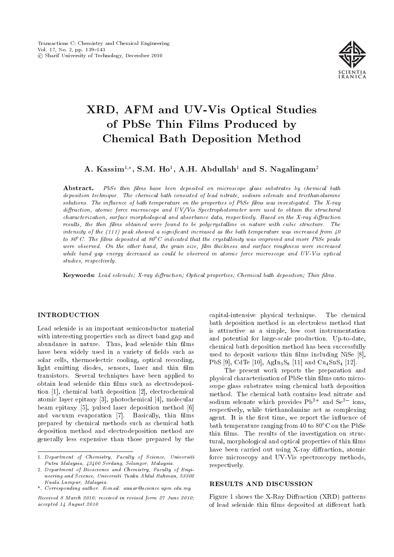

# XRD, AFM and UV-Vis Optical Studies of PbSe Thin Films Produced by Chemical Bath Deposition Method

A. Kassim<sup>1,\*</sup>, S.M. Ho<sup>1</sup>, A.H. Abdullah<sup>1</sup> and S. Nagalingam<sup>2</sup>

Abstract. PbSe thin films have been deposited on microscope glass substrates by chemical bath deposition technique. The chemical bath consisted of lead nitrate, sodium selenate and triethanolamine solutions. The influence of bath temperature on the properties of PbSe films was investigated. The X-ray diffraction, atomic force microscope and UV/Vis Spectrophotometer were used to obtain the structural  $characterization$ , surface morphological and absorbance data, respectively. Based on the X-ray diffraction results, the thin films obtained were found to be polycrystalline in nature with cubic structure. The intensity of the  $(111)$  peak showed a significant increased as the bath temperature was increased from  $40$ to 80 $\degree$  C. The films deposited at 80 $\degree$ C indicated that the crystallinity was improved and more PbSe peaks were observed. On the other hand, the grain size, film thickness and surface roughness were increased while band gap energy decreased as could be observed in atomic force microscope and UV-Vis optical studies, respectively.

Keywords: Lead selenide; X-ray diffraction; Optical properties; Chemical bath deposition; Thin films.

# INTRODUCTION

Lead selenide is an important semiconductor material with interesting properties such as direct band gap and abundance in nature. Thus, lead selenide thin films have been widely used in a variety of fields such as solar cells, thermoelectric cooling, optical recording, light emitting diodes, sensors, laser and thin film transistors. Several techniques have been applied to obtain lead selenide thin films such as electrodeposition [1], chemical bath deposition [2], electrochemical atomic layer epitaxy [3], photochemical [4], molecular beam epitaxy [5], pulsed laser deposition method [6] and vacuum evaporation [7]. Basically, thin films prepared by chemical methods such as chemical bath deposition method and electrodeposition method are generally less expensive than those prepared by the capital-intensive physical technique. The chemical bath deposition method is an electroless method that is attractive as a simple, low cost instrumentation and potential for large-scale production. Up-to-date, chemical bath deposition method has been successfully used to deposit various thin films including NiSe [8], PbS [9], CdTe [10],  $AgIn_5S_8$  [11] and  $Cu_4SnS_4$  [12].

The present work reports the preparation and physical characterization of PbSe thin films onto microscope glass substrates using chemical bath deposition method. The chemical bath contains lead nitrate and sodium selenate which provides  $Pb^{2+}$  and  $Se^{2-}$  ions, respectively, while triethanolamine act as complexing agent. It is the first time, we report the influence of bath temperature ranging from 40 to  $80^{\circ}$ C on the PbSe thin films. The results of the investigation on structural, morphological and optical properties of thin films have been carried out using X-ray diffraction, atomic force microscopy and UV-Vis spectroscopy methods, respectively.

# RESULTS AND DISCUSSION

Figure 1 shows the X-Ray Diffraction  $(XRD)$  patterns of lead selenide thin films deposited at different bath

<sup>1.</sup> Department of Chemistry, Faculty of Science, Universiti Putra Malaysia, 43400 Serdang, Selangor, Malaysia.

<sup>2.</sup> Department of Bioscience and Chemistry, Faculty of Engineering and Science, Universiti Tunku Abdul Rahman, 53300 Kuala Lumpur, Malaysia.

<sup>\*.</sup> Corresponding author. E-mail: anuar@science.upm.edu.my

Received 8 March 2010; received in revised form 27 June 2010; accepted 14 August 2010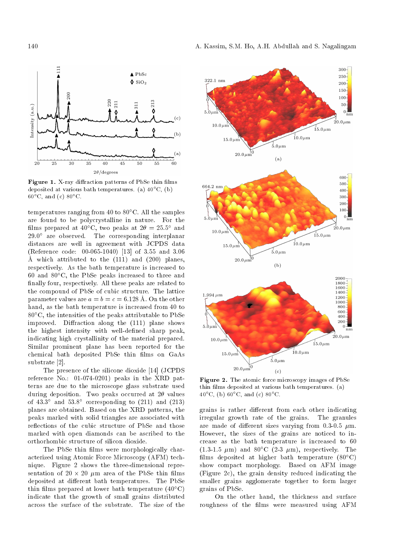

Figure 1. X-ray diffraction patterns of PbSe thin films deposited at various bath temperatures. (a)  $40^{\circ}$ C, (b)  $60^{\circ}$ C, and (c)  $80^{\circ}$ C.

temperatures ranging from 40 to  $80^{\circ}$ C. All the samples are found to be polycrystalline in nature. For the films prepared at 40°C, two peaks at  $2\theta = 25.5^{\circ}$  and  $29.0^{\circ}$  are observed. The corresponding interplanar distances are well in agreement with JCPDS data (Reference code: 00-065-1040) [13] of 3.55 and 3.06 A which attributed to the (111) and (200) planes, respectively. As the bath temperature is increased to 60 and  $80^{\circ}$ C, the PbSe peaks increased to three and finally four, respectively. All these peaks are related to the compound of PbSe of cubic structure. The lattice parameter values are  $a = b = c = 6.128$  Å. On the other hand, as the bath temperature is increased from 40 to  $80^{\circ}$ C, the intensities of the peaks attributable to PbSe improved. Diffraction along the (111) plane shows the highest intensity with well-dened sharp peak, indicating high crystallinity of the material prepared. Similar prominent plane has been reported for the chemical bath deposited PbSe thin films on GaAs substrate [2].

The presence of the silicone dioxide [14] (JCPDS reference No.: 01-074-0201) peaks in the XRD patterns are due to the microscope glass substrate used during deposition. Two peaks occurred at  $2\theta$  values of  $43.3^{\circ}$  and  $53.8^{\circ}$  corresponding to  $(211)$  and  $(213)$ planes are obtained. Based on the XRD patterns, the peaks marked with solid triangles are associated with reflections of the cubic structure of PbSe and those marked with open diamonds can be ascribed to the orthorhombic structure of silicon dioxide.

The PbSe thin films were morphologically characterized using Atomic Force Microscopy (AFM) technique. Figure 2 shows the three-dimensional representation of  $20 \times 20$   $\mu$ m area of the PbSe thin films deposited at different bath temperatures. The PbSe thin films prepared at lower bath temperature (40 $^{\circ}$ C) indicate that the growth of small grains distributed across the surface of the substrate. The size of the



Figure 2. The atomic force microscopy images of PbSe thin films deposited at various bath temperatures. (a) 40°C, (b)  $60^{\circ}$ C, and (c)  $80^{\circ}$ C.

grains is rather different from each other indicating irregular growth rate of the grains. The granules are made of different sizes varying from 0.3-0.5  $\mu$ m. However, the sizes of the grains are noticed to increase as the bath temperature is increased to 60  $(1.3-1.5 \mu m)$  and  $80^{\circ}$ C  $(2-3 \mu m)$ , respectively. The films deposited at higher bath temperature  $(80^{\circ}C)$ show compact morphology. Based on AFM image (Figure 2c), the grain density reduced indicating the smaller grains agglomerate together to form larger grains of PbSe.

On the other hand, the thickness and surface roughness of the films were measured using AFM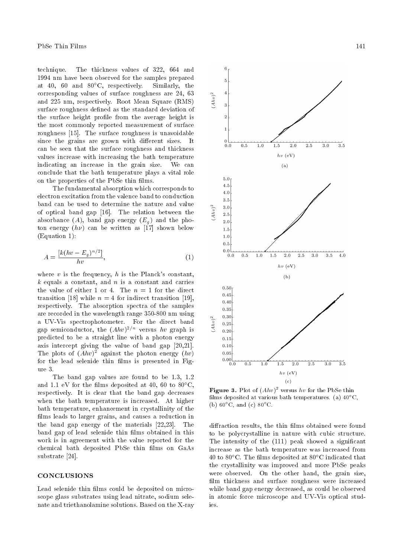technique. The thickness values of 322, 664 and 1994 nm have been observed for the samples prepared at 40, 60 and  $80^{\circ}$ C, respectively. Similarly, the corresponding values of surface roughness are 24, 63 and 225 nm, respectively. Root Mean Square (RMS) surface roughness defined as the standard deviation of the surface height profile from the average height is the most commonly reported measurement of surface roughness [15]. The surface roughness is unavoidable since the grains are grown with different sizes. It can be seen that the surface roughness and thickness values increase with increasing the bath temperature indicating an increase in the grain size. We can conclude that the bath temperature plays a vital role on the properties of the PbSe thin films.

The fundamental absorption which corresponds to electron excitation from the valence band to conduction band can be used to determine the nature and value of optical band gap [16]. The relation between the absorbance  $(A)$ , band gap energy  $(E_q)$  and the photon energy  $(h\nu)$  can be written as [17] shown below (Equation 1):

$$
A = \frac{\left[k(hv - E_g)^{n/2}\right]}{hv},\tag{1}
$$

where  $v$  is the frequency,  $h$  is the Planck's constant,  $k$  equals a constant, and n is a constant and carries the value of either 1 or 4. The  $n = 1$  for the direct transition [18] while  $n = 4$  for indirect transition [19], respectively. The absorption spectra of the samples are recorded in the wavelength range 350-800 nm using a UV-Vis spectrophotometer. For the direct band gap semiconductor, the  $(Ahv)^{2/n}$  versus  $hv$  graph is predicted to be a straight line with a photon energy axis intercept giving the value of band gap [20,21]. The plots of  $(Ahv)^2$  against the photon energy  $(hv)$ for the lead selenide thin films is presented in Figure 3.

The band gap values are found to be 1.3, 1.2 and 1.1 eV for the films deposited at 40, 60 to  $80^{\circ}$ C, respectively. It is clear that the band gap decreases when the bath temperature is increased. At higher bath temperature, enhancement in crystallinity of the films leads to larger grains, and causes a reduction in the band gap energy of the materials [22,23]. The band gap of lead selenide thin films obtained in this work is in agreement with the value reported for the chemical bath deposited PbSe thin films on GaAs substrate [24].

# **CONCLUSIONS**

Lead selenide thin films could be deposited on microscope glass substrates using lead nitrate, sodium selenate and triethanolamine solutions. Based on the X-ray



**Figure 3.** Plot of  $(Ahv)^2$  versus  $hv$  for the PbSe thin films deposited at various bath temperatures. (a)  $40^{\circ}$ C, (b)  $60^{\circ}$ C, and (c)  $80^{\circ}$ C.

diffraction results, the thin films obtained were found to be polycrystalline in nature with cubic structure. The intensity of the (111) peak showed a significant increase as the bath temperature was increased from 40 to 80 $^{\circ}$ C. The films deposited at 80 $^{\circ}$ C indicated that the crystallinity was improved and more PbSe peaks were observed. On the other hand, the grain size, film thickness and surface roughness were increased while band gap energy decreased, as could be observed in atomic force microscope and UV-Vis optical studies.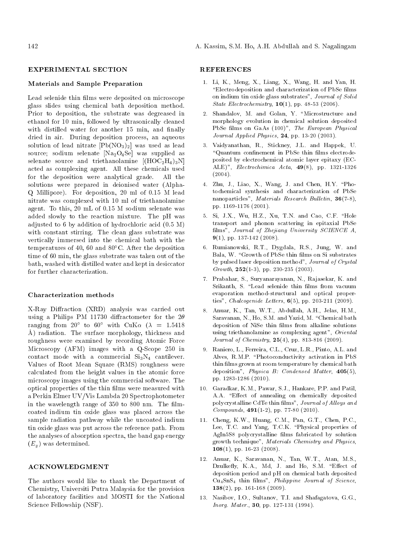### EXPERIMENTAL SECTION

#### Materials and Sample Preparation

Lead selenide thin films were deposited on microscope glass slides using chemical bath deposition method. Prior to deposition, the substrate was degreased in ethanol for 10 min, followed by ultrasonically cleaned with distilled water for another 15 min, and finally dried in air. During deposition process, an aqueous solution of lead nitrate  $[Pb(NO<sub>3</sub>)<sub>2</sub>]$  was used as lead source; sodium selenate  $[Na_2O_4Se]$  was supplied as selenate source and triethanolamine  $[(HOC<sub>2</sub>H<sub>4</sub>)<sub>3</sub>N]$ acted as complexing agent. All these chemicals used for the deposition were analytical grade. All the solutions were prepared in deionised water (Alpha-Q Millipore). For deposition, 20 ml of 0.15 M lead nitrate was complexed with 10 ml of triethanolamine agent. To this, 20 mL of 0.15 M sodium selenate was added slowly to the reaction mixture. The pH was adjusted to 6 by addition of hydrochloric acid (0.5 M) with constant stirring. The clean glass substrate was vertically immersed into the chemical bath with the temperatures of 40, 60 and  $80^{\circ}$ C. After the deposition time of 60 min, the glass substrate was taken out of the bath, washed with distilled water and kept in desiccator for further characterization.

#### Characterization methods

X-Ray Diffraction (XRD) analysis was carried out using a Philips PM 11730 diffractometer for the  $2\theta$ ranging from  $20^{\circ}$  to  $60^{\circ}$  with CuK $\alpha$  ( $\lambda$  = 1.5418 A) radiation. The surface morphology, thickness and roughness were examined by recording Atomic Force Microscopy (AFM) images with a Q-Scope 250 in contact mode with a commercial  $Si<sub>3</sub>N<sub>4</sub>$  cantilever. Values of Root Mean Square (RMS) roughness were calculated from the height values in the atomic force microscopy images using the commercial software. The optical properties of the thin lms were measured with a Perkin Elmer UV/Vis Lambda 20 Spectrophotometer in the wavelength range of 350 to 800 nm. The filmcoated indium tin oxide glass was placed across the sample radiation pathway while the uncoated indium tin oxide glass was put across the reference path. From the analyses of absorption spectra, the band gap energy  $(E_q)$  was determined.

# ACKNOWLEDGMENT

The authors would like to thank the Department of Chemistry, Universiti Putra Malaysia for the provision of laboratory facilities and MOSTI for the National Science Fellowship (NSF).

## **REFERENCES**

- 1. Li, K., Meng, X., Liang, X., Wang, H. and Yan, H. "Electrodeposition and characterization of PbSe films on indium tin oxide glass substrates", Journal of Solid State Electrochemistry,  $10(1)$ , pp. 48-53 (2006).
- 2. Shandalov, M. and Golan, Y. \Microstructure and morphology evolution in chemical solution deposited PbSe films on GaAs (100)", The European Physical Journal Applied Physics, 24, pp. 13-20 (2003).
- 3. Vaidyanathan, R., Stickney, J.L. and Happek, U. "Quantum confinement in PbSe thin films electrodeposited by electrochemical atomic layer epitaxy (EC-ALE)", Electrochimica Acta, 49(8), pp. 1321-1326  $(2004).$
- 4. Zhu, J., Liao, X., Wang, J. and Chen, H.Y. \Photochemical synthesis and characterization of PbSe nanoparticles", Materials Research Bulletin, 36(7-8), pp. 1169-1176 (2001).
- 5. Si, J.X., Wu, H.Z., Xu, T.N. and Cao, C.F. "Hole transport and phonon scattering in epitaxial PbSe films", Journal of Zhejiang University SCIENCE A.  $9(1)$ , pp. 137-142 (2008).
- 6. Rumianowski, R.T., Dygdala, R.S., Jung, W. and Bala, W. "Growth of PbSe thin films on Si substrates by pulsed laser deposition method", Journal of Crystal Growth,  $252(1-3)$ , pp. 230-235 (2003).
- 7. Prabahar, S., Suryanarayanan, N., Rajasekar, K. and Srikanth, S. "Lead selenide thin films from vacuum evaporation method-structural and optical properties", *Chalcogenide Letters*,  $6(5)$ , pp. 203-211 (2009).
- 8. Anuar, K., Tan, W.T., Abdullah, A.H., Jelas, H.M., Saravanan, N., Ho, S.M. and Yazid, M. \Chemical bath deposition of NiSe thin films from alkaline solutions using triethanolamine as complexing agent", Oriental Journal of Chemistry, 25(4), pp. 813-816 (2009).
- 9. Raniero, L., Ferreira, C.L., Cruz, L.R., Pinto, A.L. and Alves, R.M.P. \Photoconductivity activation in PbS thin films grown at room temperature by chemical bath deposition", Physica B: Condensed Matter, 405(5), pp. 1283-1286 (2010).
- 10. Garadkar, K.M., Pawar, S.J., Hankare, P.P. and Patil, A.A. "Effect of annealing on chemically deposited polycrystalline CdTe thin films", Journal of Alloys and  $Componals, 491(1-2), pp. 77-80 (2010).$
- 11. Cheng, K.W., Huang, C.M., Pan, G.T., Chen, P.C., Lee, T.C. and Yang, T.C.K. \Physical properties of AgIn5S8 polycrystalline films fabricated by solution growth technique", Materials Chemistry and Physics,  $108(1)$ , pp. 16-23 (2008).
- 12. Anuar, K., Saravanan, N., Tan, W.T., Atan, M.S., Dzulkefly, K.A., Md, J. and Ho, S.M. "Effect of deposition period and pH on chemical bath deposited  $Cu<sub>4</sub>SnS<sub>4</sub>$  thin films", *Philippine Journal of Science*, 138(2), pp. 161-168 (2009).
- 13. Nasibov, I.O., Sultanov, T.I. and Shafagatova, G.G., Inorg. Mater., 30, pp. 127-131 (1994).